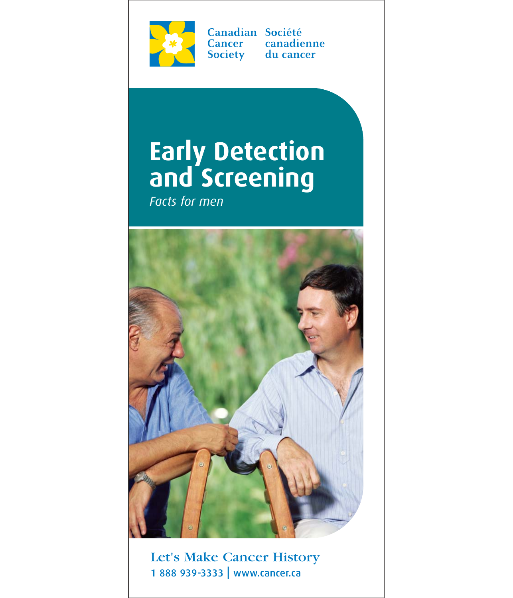

Canadian Société Cancer canadienne Society du cancer

# **Early Detection and Screening**

*Facts for men*



Let's Make Cancer History 1 888 939-3333 | www.cancer.ca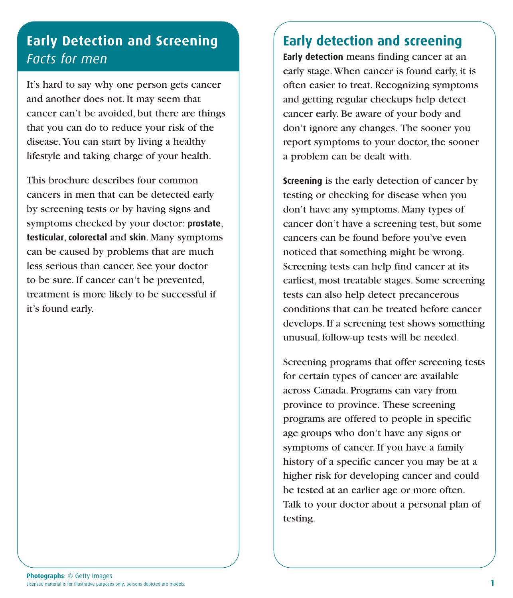# **Early Detection and Screening** *Facts for men*

It's hard to say why one person gets cancer and another does not. It may seem that cancer can't be avoided, but there are things that you can do to reduce your risk of the disease. You can start by living a healthy lifestyle and taking charge of your health.

This brochure describes four common cancers in men that can be detected early by screening tests or by having signs and symptoms checked by your doctor: **prostate**, **testicular**, **colorectal** and **skin**. Many symptoms can be caused by problems that are much less serious than cancer. See your doctor to be sure. If cancer can't be prevented, treatment is more likely to be successful if it's found early.

## **Early detection and screening**

**Early detection** means finding cancer at an early stage. When cancer is found early, it is often easier to treat. Recognizing symptoms and getting regular checkups help detect cancer early. Be aware of your body and don't ignore any changes. The sooner you report symptoms to your doctor, the sooner a problem can be dealt with.

**Screening** is the early detection of cancer by testing or checking for disease when you don't have any symptoms. Many types of cancer don't have a screening test, but some cancers can be found before you've even noticed that something might be wrong. Screening tests can help find cancer at its earliest, most treatable stages. Some screening tests can also help detect precancerous conditions that can be treated before cancer develops. If a screening test shows something unusual, follow-up tests will be needed.

Screening programs that offer screening tests for certain types of cancer are available across Canada. Programs can vary from province to province. These screening programs are offered to people in specific age groups who don't have any signs or symptoms of cancer. If you have a family history of a specific cancer you may be at a higher risk for developing cancer and could be tested at an earlier age or more often. Talk to your doctor about a personal plan of testing.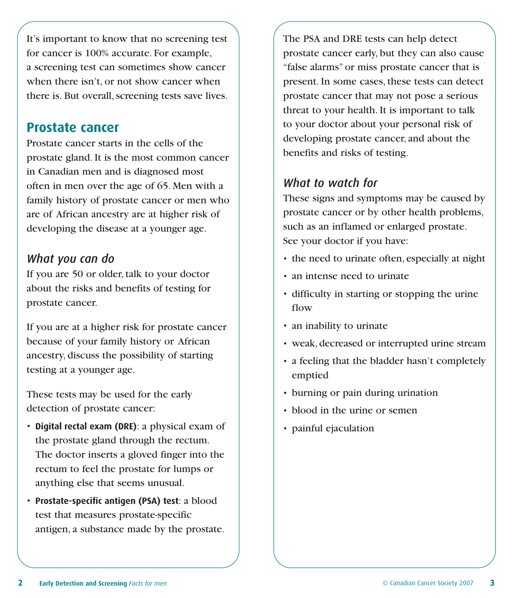It's important to know that no screening test for cancer is 100% accurate. For example, a screening test can sometimes show cancer when there isn't, or not show cancer when there is. But overall, screening tests save lives.

#### **Prostate cancer**

Prostate cancer starts in the cells of the prostate gland. It is the most common cancer in Canadian men and is diagnosed most often in men over the age of 65. Men with a family history of prostate cancer or men who are of African ancestry are at higher risk of developing the disease at a younger age.

#### *What you can do*

If you are 50 or older, talk to your doctor about the risks and benefits of testing for prostate cancer.

If you are at a higher risk for prostate cancer because of your family history or African ancestry, discuss the possibility of starting testing at a younger age.

These tests may be used for the early detection of prostate cancer:

- **Digital rectal exam (DRE)**: a physical exam of the prostate gland through the rectum. The doctor inserts a gloved finger into the rectum to feel the prostate for lumps or anything else that seems unusual.
- **Prostate-specific antigen (PSA) test**: a blood test that measures prostate-specific antigen, a substance made by the prostate.

The PSA and DRE tests can help detect prostate cancer early, but they can also cause "false alarms" or miss prostate cancer that is present. In some cases, these tests can detect prostate cancer that may not pose a serious threat to your health. It is important to talk to your doctor about your personal risk of developing prostate cancer, and about the benefits and risks of testing.

#### *What to watch for*

These signs and symptoms may be caused by prostate cancer or by other health problems, such as an inflamed or enlarged prostate. See your doctor if you have:

- the need to urinate often, especially at night
- an intense need to urinate
- difficulty in starting or stopping the urine flow
- an inability to urinate
- weak, decreased or interrupted urine stream
- a feeling that the bladder hasn't completely emptied
- burning or pain during urination
- blood in the urine or semen
- painful ejaculation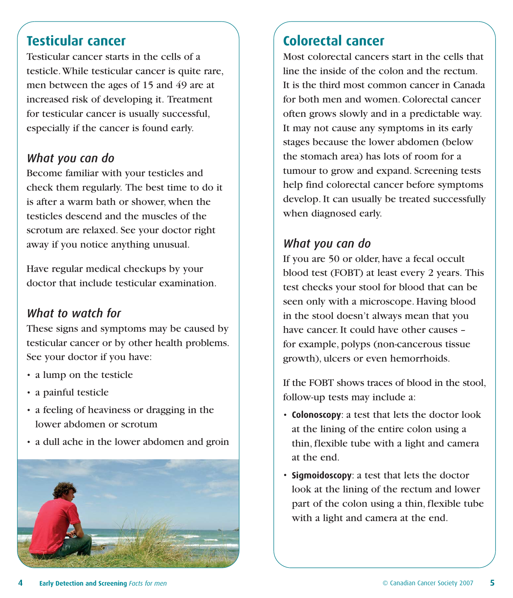#### **Testicular cancer**

Testicular cancer starts in the cells of a testicle. While testicular cancer is quite rare, men between the ages of 15 and 49 are at increased risk of developing it. Treatment for testicular cancer is usually successful, especially if the cancer is found early.

#### *What you can do*

Become familiar with your testicles and check them regularly. The best time to do it is after a warm bath or shower, when the testicles descend and the muscles of the scrotum are relaxed. See your doctor right away if you notice anything unusual.

Have regular medical checkups by your doctor that include testicular examination.

#### *What to watch for*

These signs and symptoms may be caused by testicular cancer or by other health problems. See your doctor if you have:

- a lump on the testicle
- a painful testicle
- a feeling of heaviness or dragging in the lower abdomen or scrotum
- a dull ache in the lower abdomen and groin



# **Colorectal cancer**

Most colorectal cancers start in the cells that line the inside of the colon and the rectum. It is the third most common cancer in Canada for both men and women. Colorectal cancer often grows slowly and in a predictable way. It may not cause any symptoms in its early stages because the lower abdomen (below the stomach area) has lots of room for a tumour to grow and expand. Screening tests help find colorectal cancer before symptoms develop. It can usually be treated successfully when diagnosed early.

#### *What you can do*

If you are 50 or older, have a fecal occult blood test (FOBT) at least every 2 years. This test checks your stool for blood that can be seen only with a microscope. Having blood in the stool doesn't always mean that you have cancer. It could have other causes – for example, polyps (non-cancerous tissue growth), ulcers or even hemorrhoids.

If the FOBT shows traces of blood in the stool, follow-up tests may include a:

- **Colonoscopy**: a test that lets the doctor look at the lining of the entire colon using a thin, flexible tube with a light and camera at the end.
- **Sigmoidoscopy**: a test that lets the doctor look at the lining of the rectum and lower part of the colon using a thin, flexible tube with a light and camera at the end.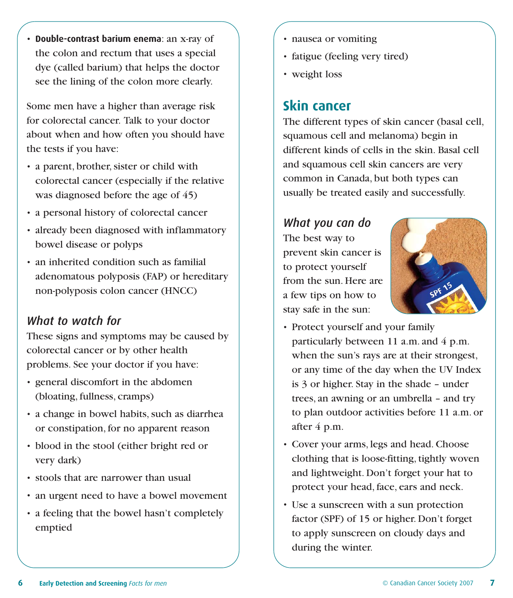• **Double-contrast barium enema**: an x-ray of the colon and rectum that uses a special dye (called barium) that helps the doctor see the lining of the colon more clearly.

Some men have a higher than average risk for colorectal cancer. Talk to your doctor about when and how often you should have the tests if you have:

- a parent, brother, sister or child with colorectal cancer (especially if the relative was diagnosed before the age of 45)
- a personal history of colorectal cancer
- already been diagnosed with inflammatory bowel disease or polyps
- an inherited condition such as familial adenomatous polyposis (FAP) or hereditary non-polyposis colon cancer (HNCC)

#### *What to watch for*

These signs and symptoms may be caused by colorectal cancer or by other health problems. See your doctor if you have:

- general discomfort in the abdomen (bloating, fullness, cramps)
- a change in bowel habits, such as diarrhea or constipation, for no apparent reason
- blood in the stool (either bright red or very dark)
- stools that are narrower than usual
- an urgent need to have a bowel movement
- a feeling that the bowel hasn't completely emptied
- nausea or vomiting
- fatigue (feeling very tired)
- weight loss

### **Skin cancer**

The different types of skin cancer (basal cell, squamous cell and melanoma) begin in different kinds of cells in the skin. Basal cell and squamous cell skin cancers are very common in Canada, but both types can usually be treated easily and successfully.

#### *What you can do*

The best way to prevent skin cancer is to protect yourself from the sun. Here are a few tips on how to stay safe in the sun:



- Protect yourself and your family particularly between 11 a.m. and 4 p.m. when the sun's rays are at their strongest, or any time of the day when the UV Index is 3 or higher. Stay in the shade – under trees, an awning or an umbrella – and try to plan outdoor activities before 11 a.m. or after 4 p.m.
- Cover your arms, legs and head. Choose clothing that is loose-fitting, tightly woven and lightweight. Don't forget your hat to protect your head, face, ears and neck.
- Use a sunscreen with a sun protection factor (SPF) of 15 or higher. Don't forget to apply sunscreen on cloudy days and during the winter.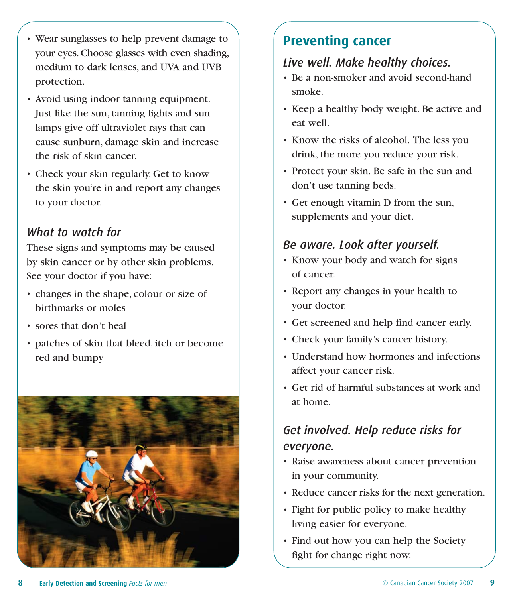- Wear sunglasses to help prevent damage to your eyes. Choose glasses with even shading, medium to dark lenses, and UVA and UVB protection.
- Avoid using indoor tanning equipment. Just like the sun, tanning lights and sun lamps give off ultraviolet rays that can cause sunburn, damage skin and increase the risk of skin cancer.
- Check your skin regularly. Get to know the skin you're in and report any changes to your doctor.

## *What to watch for*

These signs and symptoms may be caused by skin cancer or by other skin problems. See your doctor if you have:

- changes in the shape, colour or size of birthmarks or moles
- sores that don't heal
- patches of skin that bleed, itch or become red and bumpy



# **Preventing cancer**

## *Live well. Make healthy choices.*

- Be a non-smoker and avoid second-hand smoke.
- Keep a healthy body weight. Be active and eat well.
- Know the risks of alcohol. The less you drink, the more you reduce your risk.
- Protect your skin. Be safe in the sun and don't use tanning beds.
- Get enough vitamin D from the sun, supplements and your diet.

## *Be aware. Look after yourself.*

- Know your body and watch for signs of cancer.
- Report any changes in your health to your doctor.
- Get screened and help find cancer early.
- Check your family's cancer history.
- Understand how hormones and infections affect your cancer risk.
- Get rid of harmful substances at work and at home.

# *Get involved. Help reduce risks for everyone.*

- Raise awareness about cancer prevention in your community.
- Reduce cancer risks for the next generation.
- Fight for public policy to make healthy living easier for everyone.
- Find out how you can help the Society fight for change right now.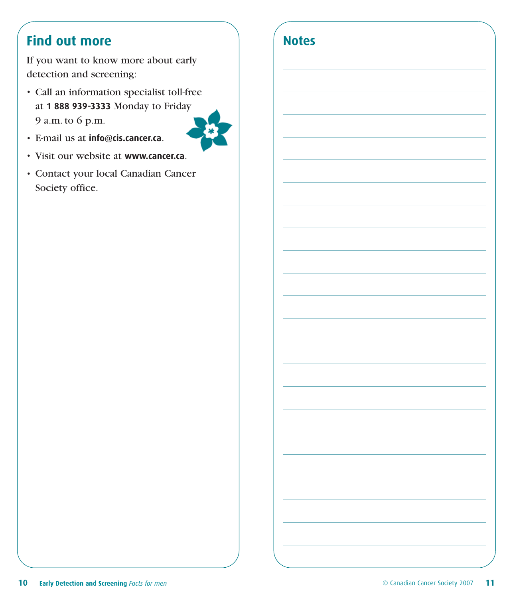# **Find out more**

If you want to know more about early detection and screening:

• Call an information specialist toll-free at **1 888 939-3333** Monday to Friday 9 a.m. to 6 p.m.



- E-mail us at **info@cis.cancer.ca**.
- Visit our website at **www.cancer.ca**.
- Contact your local Canadian Cancer Society office.

| <b>Notes</b> |  |  |  |
|--------------|--|--|--|
|              |  |  |  |
|              |  |  |  |
|              |  |  |  |
|              |  |  |  |
|              |  |  |  |
|              |  |  |  |
|              |  |  |  |
|              |  |  |  |
|              |  |  |  |
|              |  |  |  |
|              |  |  |  |
|              |  |  |  |
|              |  |  |  |
|              |  |  |  |
|              |  |  |  |
|              |  |  |  |
|              |  |  |  |
|              |  |  |  |
|              |  |  |  |
|              |  |  |  |
|              |  |  |  |
|              |  |  |  |
|              |  |  |  |
|              |  |  |  |
|              |  |  |  |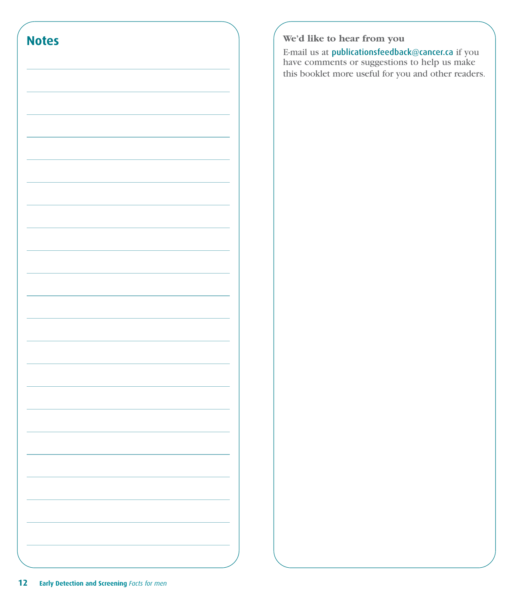

#### **We'd like to hear from you**

E-mail us at publicationsfeedback@cancer.ca if you have comments or suggestions to help us make this booklet more useful for you and other readers.